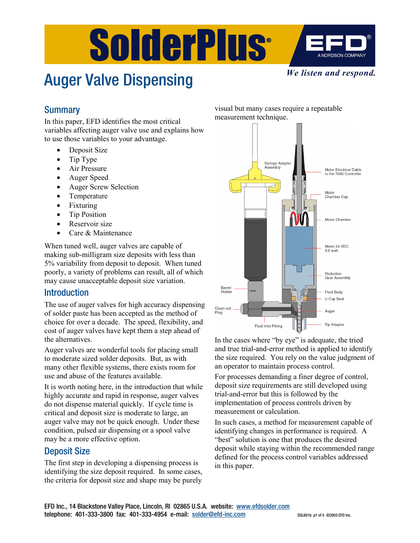

# Auger Valve Dispensing

*We listen and respond.*

## **Summary**

In this paper, EFD identifies the most critical variables affecting auger valve use and explains how to use those variables to your advantage.

- Deposit Size
- Tip Type
- Air Pressure
- Auger Speed
- Auger Screw Selection
- Temperature
- **Fixturing**
- Tip Position
- Reservoir size
- Care & Maintenance

When tuned well, auger valves are capable of making sub-milligram size deposits with less than 5% variability from deposit to deposit. When tuned poorly, a variety of problems can result, all of which may cause unacceptable deposit size variation.

### Introduction

The use of auger valves for high accuracy dispensing of solder paste has been accepted as the method of choice for over a decade. The speed, flexibility, and cost of auger valves have kept them a step ahead of the alternatives.

Auger valves are wonderful tools for placing small to moderate sized solder deposits. But, as with many other flexible systems, there exists room for use and abuse of the features available.

It is worth noting here, in the introduction that while highly accurate and rapid in response, auger valves do not dispense material quickly. If cycle time is critical and deposit size is moderate to large, an auger valve may not be quick enough. Under these condition, pulsed air dispensing or a spool valve may be a more effective option.

### Deposit Size

The first step in developing a dispensing process is identifying the size deposit required. In some cases, the criteria for deposit size and shape may be purely

visual but many cases require a repeatable measurement technique.



In the cases where "by eye" is adequate, the tried and true trial-and-error method is applied to identify the size required. You rely on the value judgment of an operator to maintain process control.

For processes demanding a finer degree of control, deposit size requirements are still developed using trial-and-error but this is followed by the implementation of process controls driven by measurement or calculation.

In such cases, a method for measurement capable of identifying changes in performance is required. A "best" solution is one that produces the desired deposit while staying within the recommended range defined for the process control variables addressed in this paper.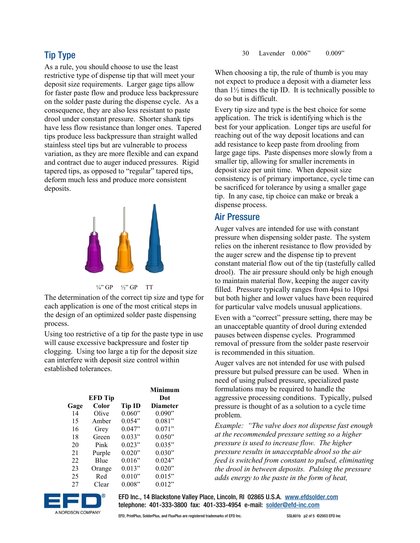## Tip Type

As a rule, you should choose to use the least restrictive type of dispense tip that will meet your deposit size requirements. Larger gage tips allow for faster paste flow and produce less backpressure on the solder paste during the dispense cycle. As a consequence, they are also less resistant to paste drool under constant pressure. Shorter shank tips have less flow resistance than longer ones. Tapered tips produce less backpressure than straight walled stainless steel tips but are vulnerable to process variation, as they are more flexible and can expand and contract due to auger induced pressures. Rigid tapered tips, as opposed to "regular" tapered tips, deform much less and produce more consistent deposits.



The determination of the correct tip size and type for each application is one of the most critical steps in the design of an optimized solder paste dispensing process.

Using too restrictive of a tip for the paste type in use will cause excessive backpressure and foster tip clogging. Using too large a tip for the deposit size can interfere with deposit size control within established tolerances.

|      |                |               | Minimum         |
|------|----------------|---------------|-----------------|
|      | <b>EFD</b> Tip |               | Dot             |
| Gage | Color          | <b>Tip ID</b> | <b>Diameter</b> |
| 14   | Olive          | 0.060"        | 0.090"          |
| 15   | Amber          | 0.054"        | 0.081"          |
| 16   | Grey           | 0.047"        | 0.071"          |
| 18   | Green          | 0.033"        | 0.050"          |
| 20   | Pink           | 0.023"        | 0.035"          |
| 21   | Purple         | 0.020"        | 0.030"          |
| 22   | Blue           | 0.016"        | 0.024"          |
| 23   | Orange         | 0.013"        | 0.020"          |
| 25   | Red            | 0.010"        | 0.015"          |
| 27   | Clear          | 0.008"        | 0.012"          |

30 Lavender 0.006" 0.009"

When choosing a tip, the rule of thumb is you may not expect to produce a deposit with a diameter less than  $1\frac{1}{2}$  times the tip ID. It is technically possible to do so but is difficult.

Every tip size and type is the best choice for some application. The trick is identifying which is the best for your application. Longer tips are useful for reaching out of the way deposit locations and can add resistance to keep paste from drooling from large gage tips. Paste dispenses more slowly from a smaller tip, allowing for smaller increments in deposit size per unit time. When deposit size consistency is of primary importance, cycle time can be sacrificed for tolerance by using a smaller gage tip. In any case, tip choice can make or break a dispense process.

#### Air Pressure

Auger valves are intended for use with constant pressure when dispensing solder paste. The system relies on the inherent resistance to flow provided by the auger screw and the dispense tip to prevent constant material flow out of the tip (tastefully called drool). The air pressure should only be high enough to maintain material flow, keeping the auger cavity filled. Pressure typically ranges from 4psi to 10psi but both higher and lower values have been required for particular valve models unusual applications. Even with a "correct" pressure setting, there may be an unacceptable quantity of drool during extended pauses between dispense cycles. Programmed removal of pressure from the solder paste reservoir is recommended in this situation.

Auger valves are not intended for use with pulsed pressure but pulsed pressure can be used. When in need of using pulsed pressure, specialized paste formulations may be required to handle the aggressive processing conditions. Typically, pulsed pressure is thought of as a solution to a cycle time problem.

*Example: "The valve does not dispense fast enough at the recommended pressure setting so a higher pressure is used to increase flow. The higher pressure results in unacceptable drool so the air feed is switched from constant to pulsed, eliminating the drool in between deposits. Pulsing the pressure adds energy to the paste in the form of heat,* 

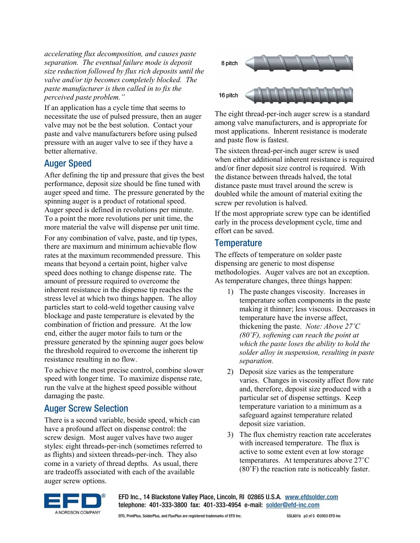*accelerating flux decomposition, and causes paste separation. The eventual failure mode is deposit size reduction followed by flux rich deposits until the valve and/or tip becomes completely blocked. The paste manufacturer is then called in to fix the perceived paste problem."*

If an application has a cycle time that seems to necessitate the use of pulsed pressure, then an auger valve may not be the best solution. Contact your paste and valve manufacturers before using pulsed pressure with an auger valve to see if they have a better alternative.

### Auger Speed

After defining the tip and pressure that gives the best performance, deposit size should be fine tuned with auger speed and time. The pressure generated by the spinning auger is a product of rotational speed. Auger speed is defined in revolutions per minute. To a point the more revolutions per unit time, the more material the valve will dispense per unit time.

For any combination of valve, paste, and tip types, there are maximum and minimum achievable flow rates at the maximum recommended pressure. This means that beyond a certain point, higher valve speed does nothing to change dispense rate. The amount of pressure required to overcome the inherent resistance in the dispense tip reaches the stress level at which two things happen. The alloy particles start to cold-weld together causing valve blockage and paste temperature is elevated by the combination of friction and pressure. At the low end, either the auger motor fails to turn or the pressure generated by the spinning auger goes below the threshold required to overcome the inherent tip resistance resulting in no flow.

To achieve the most precise control, combine slower speed with longer time. To maximize dispense rate, run the valve at the highest speed possible without damaging the paste.

## Auger Screw Selection

There is a second variable, beside speed, which can have a profound affect on dispense control: the screw design. Most auger valves have two auger styles: eight threads-per-inch (sometimes referred to as flights) and sixteen threads-per-inch. They also come in a variety of thread depths. As usual, there are tradeoffs associated with each of the available auger screw options.



The eight thread-per-inch auger screw is a standard among valve manufacturers, and is appropriate for most applications. Inherent resistance is moderate and paste flow is fastest.

The sixteen thread-per-inch auger screw is used when either additional inherent resistance is required and/or finer deposit size control is required. With the distance between threads halved, the total distance paste must travel around the screw is doubled while the amount of material exiting the screw per revolution is halved.

If the most appropriate screw type can be identified early in the process development cycle, time and effort can be saved.

## **Temperature**

The effects of temperature on solder paste dispensing are generic to most dispense methodologies. Auger valves are not an exception. As temperature changes, three things happen:

- 1) The paste changes viscosity. Increases in temperature soften components in the paste making it thinner; less viscous. Decreases in temperature have the inverse affect, thickening the paste. *Note: Above 27˚C (80˚F), softening can reach the point at which the paste loses the ability to hold the solder alloy in suspension, resulting in paste separation.*
- 2) Deposit size varies as the temperature varies. Changes in viscosity affect flow rate and, therefore, deposit size produced with a particular set of dispense settings. Keep temperature variation to a minimum as a safeguard against temperature related deposit size variation.
- 3) The flux chemistry reaction rate accelerates with increased temperature. The flux is active to some extent even at low storage temperatures. At temperatures above 27˚C (80˚F) the reaction rate is noticeably faster.

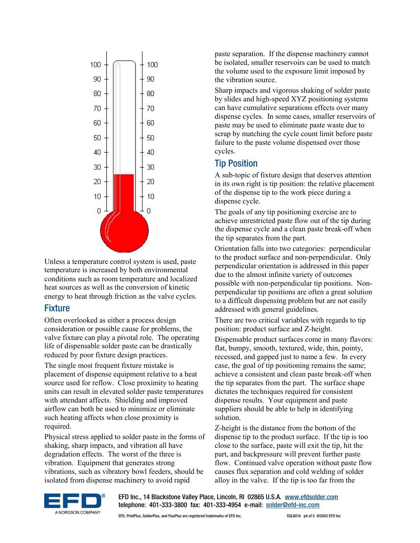

Unless a temperature control system is used, paste temperature is increased by both environmental conditions such as room temperature and localized heat sources as well as the conversion of kinetic energy to heat through friction as the valve cycles.

## Fixture

Often overlooked as either a process design consideration or possible cause for problems, the valve fixture can play a pivotal role. The operating life of dispensable solder paste can be drastically reduced by poor fixture design practices.

The single most frequent fixture mistake is placement of dispense equipment relative to a heat source used for reflow. Close proximity to heating units can result in elevated solder paste temperatures with attendant affects. Shielding and improved airflow can both be used to minimize or eliminate such heating affects when close proximity is required.

Physical stress applied to solder paste in the forms of shaking, sharp impacts, and vibration all have degradation effects. The worst of the three is vibration. Equipment that generates strong vibrations, such as vibratory bowl feeders, should be isolated from dispense machinery to avoid rapid

paste separation. If the dispense machinery cannot be isolated, smaller reservoirs can be used to match the volume used to the exposure limit imposed by the vibration source.

Sharp impacts and vigorous shaking of solder paste by slides and high-speed XYZ positioning systems can have cumulative separations effects over many dispense cycles. In some cases, smaller reservoirs of paste may be used to eliminate paste waste due to scrap by matching the cycle count limit before paste failure to the paste volume dispensed over those cycles.

# Tip Position

A sub-topic of fixture design that deserves attention in its own right is tip position: the relative placement of the dispense tip to the work piece during a dispense cycle.

The goals of any tip positioning exercise are to achieve unrestricted paste flow out of the tip during the dispense cycle and a clean paste break-off when the tip separates from the part.

Orientation falls into two categories: perpendicular to the product surface and non-perpendicular. Only perpendicular orientation is addressed in this paper due to the almost infinite variety of outcomes possible with non-perpendicular tip positions. Nonperpendicular tip positions are often a great solution to a difficult dispensing problem but are not easily addressed with general guidelines.

There are two critical variables with regards to tip position: product surface and Z-height.

Dispensable product surfaces come in many flavors: flat, bumpy, smooth, textured, wide, thin, pointy, recessed, and gapped just to name a few. In every case, the goal of tip positioning remains the same; achieve a consistent and clean paste break-off when the tip separates from the part. The surface shape dictates the techniques required for consistent dispense results. Your equipment and paste suppliers should be able to help in identifying solution.

Z-height is the distance from the bottom of the dispense tip to the product surface. If the tip is too close to the surface, paste will exit the tip, hit the part, and backpressure will prevent further paste flow. Continued valve operation without paste flow causes flux separation and cold welding of solder alloy in the valve. If the tip is too far from the